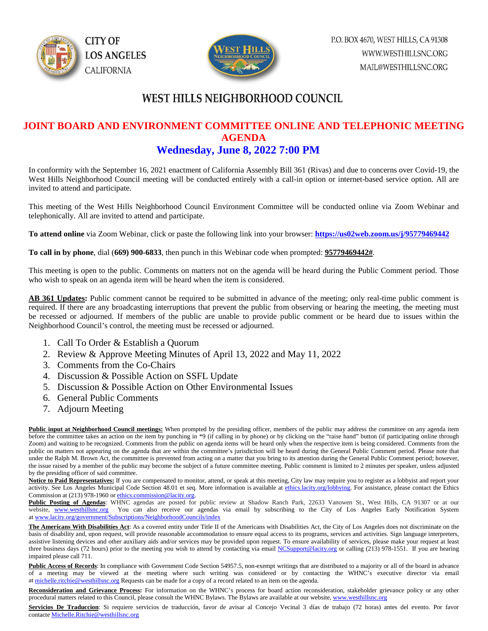



### WEST HILLS NEIGHBORHOOD COUNCIL

#### **JOINT BOARD AND ENVIRONMENT COMMITTEE ONLINE AND TELEPHONIC MEETING AGENDA Wednesday, June 8, 2022 7:00 PM**

In conformity with the September 16, 2021 enactment of California Assembly Bill 361 (Rivas) and due to concerns over Covid-19, the West Hills Neighborhood Council meeting will be conducted entirely with a call-in option or internet-based service option. All are invited to attend and participate.

This meeting of the West Hills Neighborhood Council Environment Committee will be conducted online via Zoom Webinar and telephonically. All are invited to attend and participate.

**To attend online** via Zoom Webinar, click or paste the following link into your browser: **<https://us02web.zoom.us/j/95779469442>**

**To call in by phone**, dial (**669) 900-6833**, then punch in this Webinar code when prompted: **95779469442#**.

This meeting is open to the public. Comments on matters not on the agenda will be heard during the Public Comment period. Those who wish to speak on an agenda item will be heard when the item is considered.

**AB 361 Updates:** Public comment cannot be required to be submitted in advance of the meeting; only real-time public comment is required. If there are any broadcasting interruptions that prevent the public from observing or hearing the meeting, the meeting must be recessed or adjourned. If members of the public are unable to provide public comment or be heard due to issues within the Neighborhood Council's control, the meeting must be recessed or adjourned.

- 1. Call To Order & Establish a Quorum
- 2. Review & Approve Meeting Minutes of April 13, 2022 and May 11, 2022
- 3. Comments from the Co-Chairs
- 4. Discussion & Possible Action on SSFL Update
- 5. Discussion & Possible Action on Other Environmental Issues
- 6. General Public Comments
- 7. Adjourn Meeting

**Public input at Neighborhood Council meetings:** When prompted by the presiding officer, members of the public may address the committee on any agenda item before the committee takes an action on the item by punching in \*9 (if calling in by phone) or by clicking on the "raise hand" button (if participating online through Zoom) and waiting to be recognized. Comments from the public on agenda items will be heard only when the respective item is being considered. Comments from the public on matters not appearing on the agenda that are within the committee's jurisdiction will be heard during the General Public Comment period. Please note that under the Ralph M. Brown Act, the committee is prevented from acting on a matter that you bring to its attention during the General Public Comment period; however, the issue raised by a member of the public may become the subject of a future committee meeting. Public comment is limited to 2 minutes per speaker, unless adjusted by the presiding officer of said committee.

Notice to Paid Representatives: If you are compensated to monitor, attend, or speak at this meeting, City law may require you to register as a lobbyist and report your activity. See Los Angeles Municipal Code Section 48.01 et seq. More information is available a[t ethics.lacity.org/lobbying.](http://ethics.lacity.org/lobbying) For assistance, please contact the Ethics Commission at (213) 978-1960 or [ethics.commission@lacity.org.](javascript:void(0);)

Public Posting of Agendas: WHNC agendas are posted for public review at Shadow Ranch Park, 22633 Vanowen St., West Hills, CA 91307 or at our website, [www.westhillsnc.org](http://www.westhillsnc.org/) You can also receive our agendas via email by subscribing to the City of Los Angeles Early Notification System at [www.lacity.org/government/Subscriptions/NeighborhoodCouncils/index](http://www.lacity.org/government/Subscriptions/NeighborhoodCouncils/index)

**The Americans With Disabilities Act**: As a covered entity under Title II of the Americans with Disabilities Act, the City of Los Angeles does not discriminate on the basis of disability and, upon request, will provide reasonable accommodation to ensure equal access to its programs, services and activities. Sign language interpreters, assistive listening devices and other auxiliary aids and/or services may be provided upon request. To ensure availability of services, please make your request at least three business days (72 hours) prior to the meeting you wish to attend by contacting via emai[l NCSupport@lacity.org](mailto:NCSupport@lacity.org) or calling (213) 978-1551. If you are hearing impaired please call 711.

Public Access of Records: In compliance with Government Code Section 54957.5, non-exempt writings that are distributed to a majority or all of the board in advance of a meeting may be viewed at the meeting where such writing was considered or by contacting the WHNC's executive director via email at [michelle.ritchie@westhillsnc.org](mailto:michelle.ritchie@westhillsnc.org) Requests can be made for a copy of a record related to an item on the agenda.

**Reconsideration and Grievance Process:** For information on the WHNC's process for board action reconsideration, stakeholder grievance policy or any other procedural matters related to this Council, please consult the WHNC Bylaws. The Bylaws are available at our website, [www.westhillsnc.org](http://www.westhillsnc.org/)

Servicios De Traduccion: Si requiere servicios de traducción, favor de avisar al Concejo Vecinal 3 días de trabajo (72 horas) antes del evento. Por favor contact[e Michelle.Ritchie@westhillsnc.org](mailto:Michelle.Ritchie@westhillsnc.org)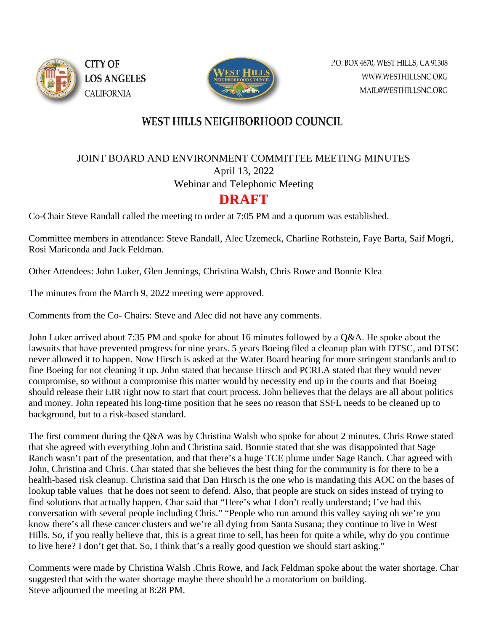



## **WEST HILLS NEIGHBORHOOD COUNCIL**

JOINT BOARD AND ENVIRONMENT COMMITTEE MEETING MINUTES

April 13, 2022 Webinar and Telephonic Meeting

# **DRAFT**

Co-Chair Steve Randall called the meeting to order at 7:05 PM and a quorum was established.

Committee members in attendance: Steve Randall, Alec Uzemeck, Charline Rothstein, Faye Barta, Saif Mogri, Rosi Mariconda and Jack Feldman.

Other Attendees: John Luker, Glen Jennings, Christina Walsh, Chris Rowe and Bonnie Klea

The minutes from the March 9, 2022 meeting were approved.

Comments from the Co- Chairs: Steve and Alec did not have any comments.

John Luker arrived about 7:35 PM and spoke for about 16 minutes followed by a Q&A. He spoke about the lawsuits that have prevented progress for nine years. 5 years Boeing filed a cleanup plan with DTSC, and DTSC never allowed it to happen. Now Hirsch is asked at the Water Board hearing for more stringent standards and to fine Boeing for not cleaning it up. John stated that because Hirsch and PCRLA stated that they would never compromise, so without a compromise this matter would by necessity end up in the courts and that Boeing should release their EIR right now to start that court process. John believes that the delays are all about politics and money. John repeated his long-time position that he sees no reason that SSFL needs to be cleaned up to background, but to a risk-based standard.

The first comment during the Q&A was by Christina Walsh who spoke for about 2 minutes. Chris Rowe stated that she agreed with everything John and Christina said. Bonnie stated that she was disappointed that Sage Ranch wasn't part of the presentation, and that there's a huge TCE plume under Sage Ranch. Char agreed with John, Christina and Chris. Char stated that she believes the best thing for the community is for there to be a health-based risk cleanup. Christina said that Dan Hirsch is the one who is mandating this AOC on the bases of lookup table values that he does not seem to defend. Also, that people are stuck on sides instead of trying to find solutions that actually happen. Char said that "Here's what I don't really understand; I've had this conversation with several people including Chris." "People who run around this valley saying oh we're you know there's all these cancer clusters and we're all dying from Santa Susana; they continue to live in West Hills. So, if you really believe that, this is a great time to sell, has been for quite a while, why do you continue to live here? I don't get that. So, I think that's a really good question we should start asking."

Comments were made by Christina Walsh ,Chris Rowe, and Jack Feldman spoke about the water shortage. Char suggested that with the water shortage maybe there should be a moratorium on building. Steve adjourned the meeting at 8:28 PM.